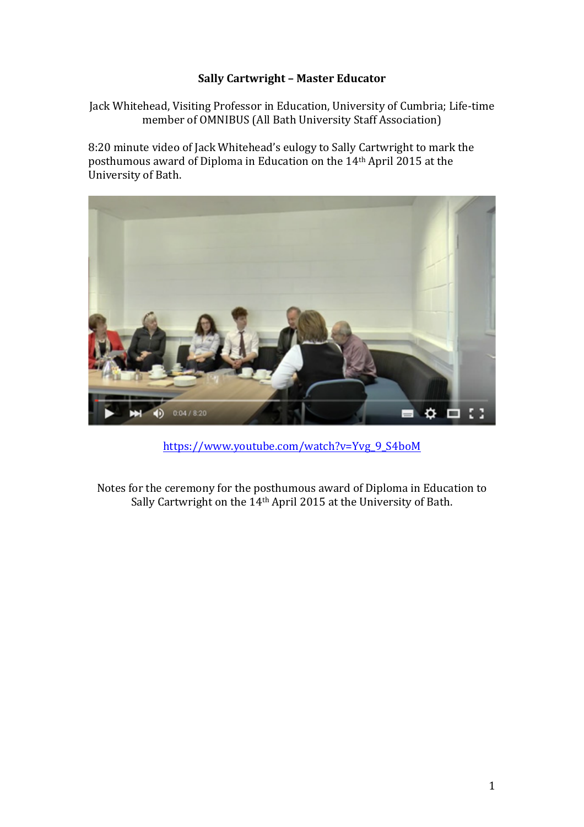# **Sally Cartwright - Master Educator**

Jack Whitehead, Visiting Professor in Education, University of Cumbria; Life-time member of OMNIBUS (All Bath University Staff Association)

8:20 minute video of Jack Whitehead's eulogy to Sally Cartwright to mark the posthumous award of Diploma in Education on the 14<sup>th</sup> April 2015 at the University of Bath.



https://www.youtube.com/watch?v=Yvg\_9\_S4boM

Notes for the ceremony for the posthumous award of Diploma in Education to Sally Cartwright on the  $14$ <sup>th</sup> April 2015 at the University of Bath.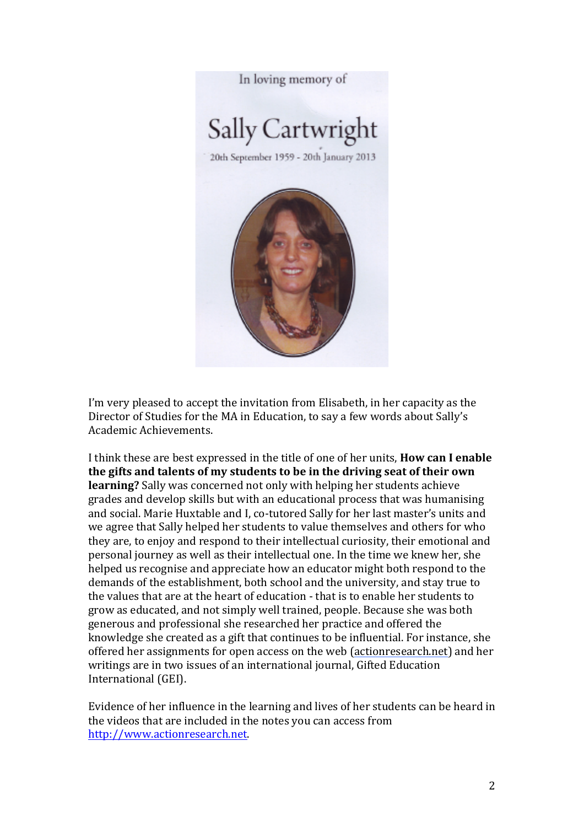In loving memory of

# Sally Cartwright

20th September 1959 - 20th January 2013



I'm very pleased to accept the invitation from Elisabeth, in her capacity as the Director of Studies for the MA in Education, to say a few words about Sally's Academic Achievements. 

I think these are best expressed in the title of one of her units. **How can I enable** the gifts and talents of my students to be in the driving seat of their own **learning?** Sally was concerned not only with helping her students achieve grades and develop skills but with an educational process that was humanising and social. Marie Huxtable and I. co-tutored Sally for her last master's units and we agree that Sally helped her students to value themselves and others for who they are, to enjoy and respond to their intellectual curiosity, their emotional and personal journey as well as their intellectual one. In the time we knew her, she helped us recognise and appreciate how an educator might both respond to the demands of the establishment, both school and the university, and stay true to the values that are at the heart of education - that is to enable her students to grow as educated, and not simply well trained, people. Because she was both generous and professional she researched her practice and offered the knowledge she created as a gift that continues to be influential. For instance, she offered her assignments for open access on the web (actionresearch.net) and her writings are in two issues of an international journal, Gifted Education International (GEI).

Evidence of her influence in the learning and lives of her students can be heard in the videos that are included in the notes you can access from http://www.actionresearch.net.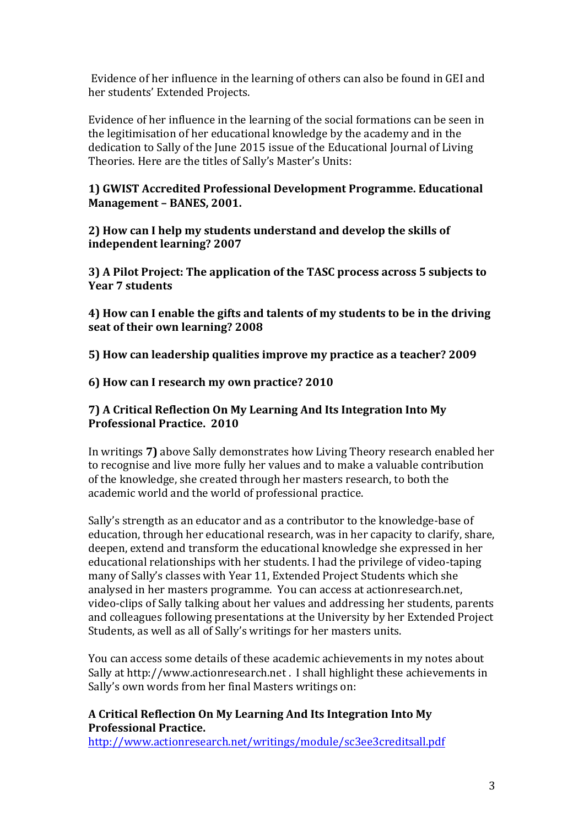Evidence of her influence in the learning of others can also be found in GEI and her students' Extended Projects.

Evidence of her influence in the learning of the social formations can be seen in the legitimisation of her educational knowledge by the academy and in the dedication to Sally of the June 2015 issue of the Educational Journal of Living Theories. Here are the titles of Sally's Master's Units:

## **1) GWIST Accredited Professional Development Programme. Educational Management - BANES, 2001.**

**2)** How can I help my students understand and develop the skills of **independent learning? 2007**

**3)** A Pilot Project: The application of the TASC process across 5 subjects to **Year 7 students**

**4)** How can I enable the gifts and talents of my students to be in the driving seat of their own learning? 2008

**5)** How can leadership qualities improve my practice as a teacher? 2009

**6) How can I research my own practice? 2010**

# **7)** A Critical Reflection On My Learning And Its Integration Into My **Professional Practice. 2010**

In writings **7)** above Sally demonstrates how Living Theory research enabled her to recognise and live more fully her values and to make a valuable contribution of the knowledge, she created through her masters research, to both the academic world and the world of professional practice.

Sally's strength as an educator and as a contributor to the knowledge-base of education, through her educational research, was in her capacity to clarify, share, deepen, extend and transform the educational knowledge she expressed in her educational relationships with her students. I had the privilege of video-taping many of Sally's classes with Year 11, Extended Project Students which she analysed in her masters programme. You can access at actionresearch.net, video-clips of Sally talking about her values and addressing her students, parents and colleagues following presentations at the University by her Extended Project Students, as well as all of Sally's writings for her masters units.

You can access some details of these academic achievements in my notes about Sally at http://www.actionresearch.net . I shall highlight these achievements in Sally's own words from her final Masters writings on:

# **A Critical Reflection On My Learning And Its Integration Into My Professional Practice.**

http://www.actionresearch.net/writings/module/sc3ee3creditsall.pdf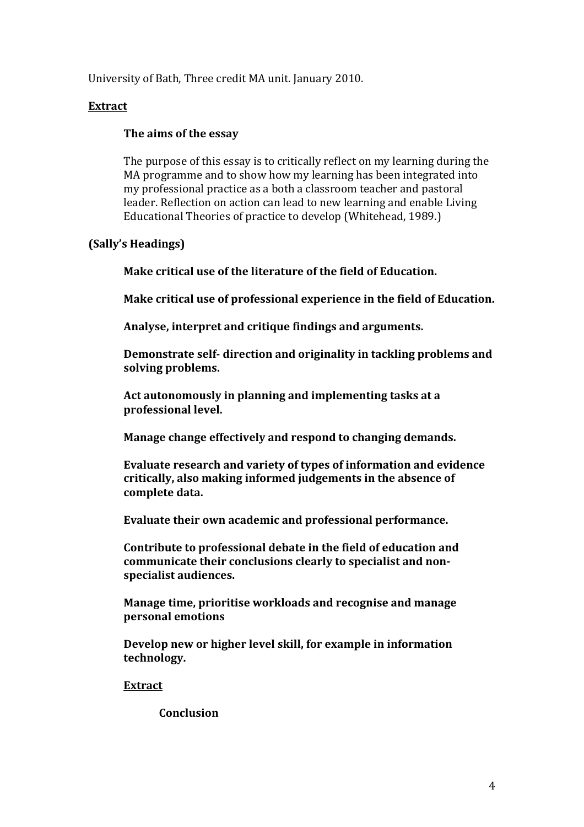University of Bath, Three credit MA unit. January 2010.

# **Extract**

# The aims of the essay

The purpose of this essay is to critically reflect on my learning during the MA programme and to show how my learning has been integrated into my professional practice as a both a classroom teacher and pastoral leader. Reflection on action can lead to new learning and enable Living Educational Theories of practice to develop (Whitehead, 1989.)

# **(Sally's Headings)**

**Make critical use of the literature of the field of Education.** 

**Make critical use of professional experience in the field of Education.** 

Analyse, interpret and critique findings and arguments.

**Demonstrate self-** direction and originality in tackling problems and solving problems.

Act autonomously in planning and implementing tasks at a **professional level.** 

**Manage change effectively and respond to changing demands.** 

**Evaluate research and variety of types of information and evidence** critically, also making informed judgements in the absence of **complete data.**

Evaluate their own academic and professional performance.

**Contribute to professional debate in the field of education and** communicate their conclusions clearly to specialist and nonspecialist audiences.

**Manage time, prioritise workloads and recognise and manage personal emotions** 

**Develop new or higher level skill, for example in information technology.** 

**Extract**

**Conclusion**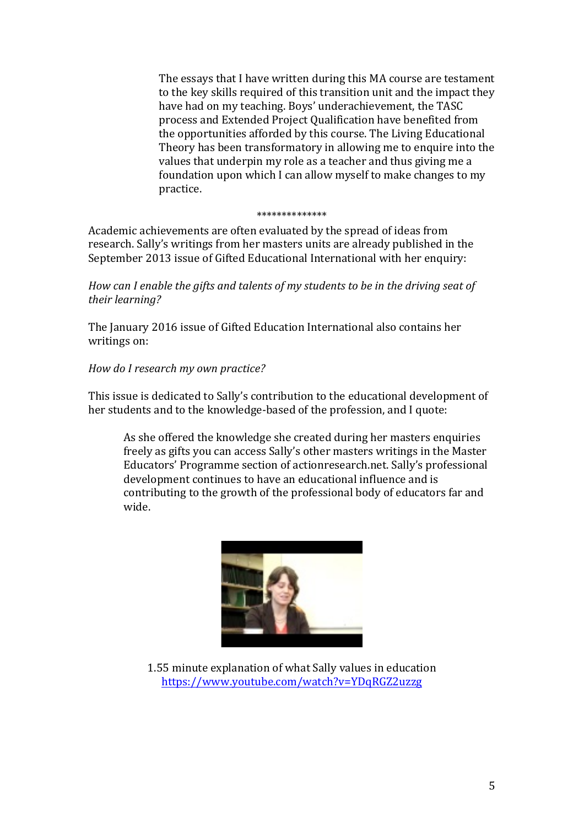The essays that I have written during this MA course are testament to the key skills required of this transition unit and the impact they have had on my teaching. Boys' underachievement, the TASC process and Extended Project Qualification have benefited from the opportunities afforded by this course. The Living Educational Theory has been transformatory in allowing me to enquire into the values that underpin my role as a teacher and thus giving me a foundation upon which I can allow myself to make changes to my practice. 

#### \*\*\*\*\*\*\*\*\*\*\*\*\*\*

Academic achievements are often evaluated by the spread of ideas from research. Sally's writings from her masters units are already published in the September 2013 issue of Gifted Educational International with her enquiry:

*How* can I enable the gifts and talents of my students to be in the driving seat of *their learning?*

The January 2016 issue of Gifted Education International also contains her writings on:

# *How do I research my own practice?*

This issue is dedicated to Sally's contribution to the educational development of her students and to the knowledge-based of the profession, and I quote:

As she offered the knowledge she created during her masters enquiries freely as gifts you can access Sally's other masters writings in the Master Educators' Programme section of actionresearch.net. Sally's professional development continues to have an educational influence and is contributing to the growth of the professional body of educators far and wide.



1.55 minute explanation of what Sally values in education https://www.youtube.com/watch?v=YDqRGZ2uzzg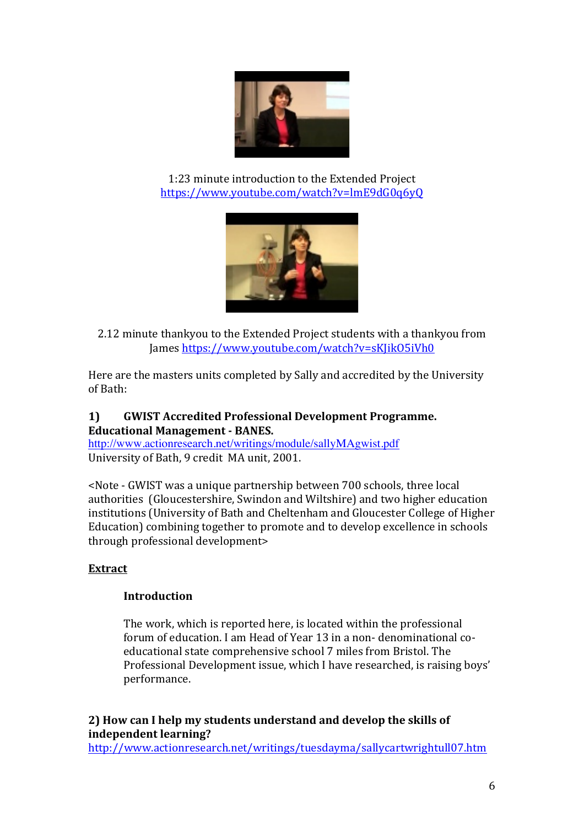

1:23 minute introduction to the Extended Project https://www.youtube.com/watch?v=lmE9dG0q6yQ



2.12 minute thankyou to the Extended Project students with a thankyou from James https://www.youtube.com/watch?v=sKJikO5iVh0

Here are the masters units completed by Sally and accredited by the University of Bath:

# 1) **GWIST Accredited Professional Development Programme. Educational Management - BANES.**

http://www.actionresearch.net/writings/module/sallyMAgwist.pdf University of Bath, 9 credit MA unit, 2001.

<Note - GWIST was a unique partnership between 700 schools, three local authorities (Gloucestershire, Swindon and Wiltshire) and two higher education institutions (University of Bath and Cheltenham and Gloucester College of Higher Education) combining together to promote and to develop excellence in schools through professional development>

# **Extract**

# **Introduction**

The work, which is reported here, is located within the professional forum of education. I am Head of Year 13 in a non- denominational coeducational state comprehensive school 7 miles from Bristol. The Professional Development issue, which I have researched, is raising boys' performance.

**2)** How can I help my students understand and develop the skills of **independent learning?** 

http://www.actionresearch.net/writings/tuesdayma/sallycartwrightull07.htm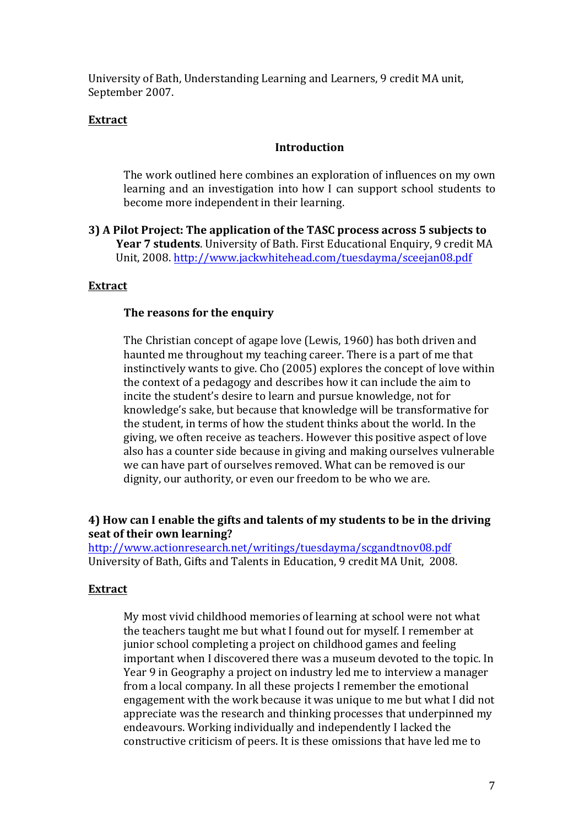University of Bath, Understanding Learning and Learners, 9 credit MA unit, September 2007.

## **Extract**

## **Introduction**

The work outlined here combines an exploration of influences on my own learning and an investigation into how I can support school students to become more independent in their learning.

**3)** A Pilot Project: The application of the TASC process across 5 subjects to **Year 7 students**. University of Bath. First Educational Enquiry, 9 credit MA Unit, 2008. http://www.jackwhitehead.com/tuesdayma/sceejan08.pdf

## **Extract**

#### The reasons for the enquiry

The Christian concept of agape love (Lewis, 1960) has both driven and haunted me throughout my teaching career. There is a part of me that instinctively wants to give. Cho (2005) explores the concept of love within the context of a pedagogy and describes how it can include the aim to incite the student's desire to learn and pursue knowledge, not for knowledge's sake, but because that knowledge will be transformative for the student, in terms of how the student thinks about the world. In the giving, we often receive as teachers. However this positive aspect of love also has a counter side because in giving and making ourselves vulnerable we can have part of ourselves removed. What can be removed is our dignity, our authority, or even our freedom to be who we are.

## **4)** How can I enable the gifts and talents of my students to be in the driving **seat of their own learning?**

http://www.actionresearch.net/writings/tuesdayma/scgandtnov08.pdf University of Bath, Gifts and Talents in Education, 9 credit MA Unit, 2008.

#### **Extract**

My most vivid childhood memories of learning at school were not what the teachers taught me but what I found out for myself. I remember at junior school completing a project on childhood games and feeling important when I discovered there was a museum devoted to the topic. In Year 9 in Geography a project on industry led me to interview a manager from a local company. In all these projects I remember the emotional engagement with the work because it was unique to me but what I did not appreciate was the research and thinking processes that underpinned my endeavours. Working individually and independently I lacked the constructive criticism of peers. It is these omissions that have led me to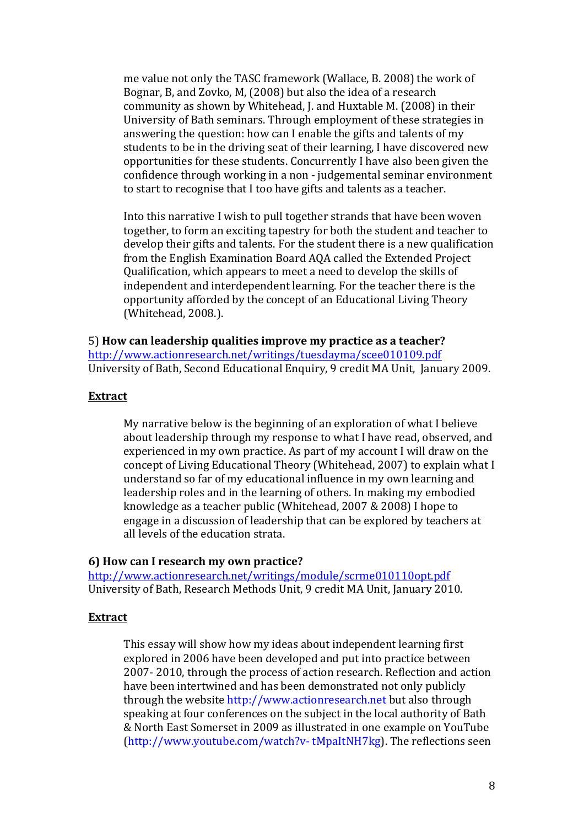me value not only the TASC framework (Wallace, B. 2008) the work of Bognar, B, and Zovko, M, (2008) but also the idea of a research community as shown by Whitehead, J. and Huxtable M. (2008) in their University of Bath seminars. Through employment of these strategies in answering the question: how can I enable the gifts and talents of my students to be in the driving seat of their learning, I have discovered new opportunities for these students. Concurrently I have also been given the confidence through working in a non - judgemental seminar environment to start to recognise that I too have gifts and talents as a teacher.

Into this narrative I wish to pull together strands that have been woven together, to form an exciting tapestry for both the student and teacher to develop their gifts and talents. For the student there is a new qualification from the English Examination Board AQA called the Extended Project Qualification, which appears to meet a need to develop the skills of independent and interdependent learning. For the teacher there is the opportunity afforded by the concept of an Educational Living Theory (Whitehead, 2008.).

5) How can leadership qualities improve my practice as a teacher? http://www.actionresearch.net/writings/tuesdayma/scee010109.pdf University of Bath, Second Educational Enquiry, 9 credit MA Unit, January 2009.

#### **Extract**

My narrative below is the beginning of an exploration of what I believe about leadership through my response to what I have read, observed, and experienced in my own practice. As part of my account I will draw on the concept of Living Educational Theory (Whitehead, 2007) to explain what I understand so far of my educational influence in my own learning and leadership roles and in the learning of others. In making my embodied knowledge as a teacher public (Whitehead, 2007 & 2008) I hope to engage in a discussion of leadership that can be explored by teachers at all levels of the education strata.

#### **6) How can I research my own practice?**

http://www.actionresearch.net/writings/module/scrme010110opt.pdf University of Bath, Research Methods Unit, 9 credit MA Unit, January 2010.

## **Extract**

This essay will show how my ideas about independent learning first explored in 2006 have been developed and put into practice between 2007-2010, through the process of action research. Reflection and action have been intertwined and has been demonstrated not only publicly through the website http://www.actionresearch.net but also through speaking at four conferences on the subject in the local authority of Bath & North East Somerset in 2009 as illustrated in one example on YouTube  $(\text{http://www.youtube.com/watch?v-thpaltNH7kg})$ . The reflections seen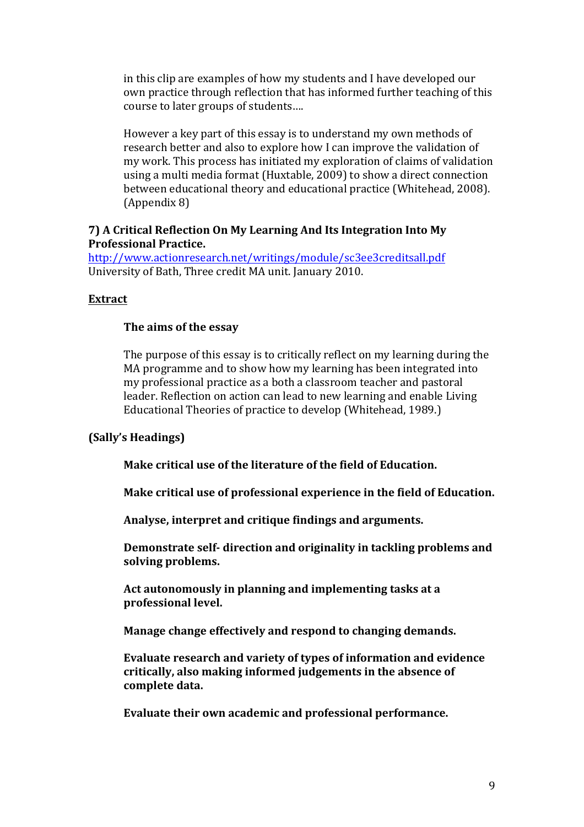in this clip are examples of how my students and I have developed our own practice through reflection that has informed further teaching of this course to later groups of students....

However a key part of this essay is to understand my own methods of research better and also to explore how I can improve the validation of my work. This process has initiated my exploration of claims of validation using a multi media format (Huxtable, 2009) to show a direct connection between educational theory and educational practice (Whitehead, 2008). (Appendix 8)

#### **7)** A Critical Reflection On My Learning And Its Integration Into My **Professional Practice.**

http://www.actionresearch.net/writings/module/sc3ee3creditsall.pdf University of Bath, Three credit MA unit. January 2010.

## **Extract**

## The aims of the essay

The purpose of this essay is to critically reflect on my learning during the MA programme and to show how my learning has been integrated into my professional practice as a both a classroom teacher and pastoral leader. Reflection on action can lead to new learning and enable Living Educational Theories of practice to develop (Whitehead, 1989.)

## **(Sally's Headings)**

**Make critical use of the literature of the field of Education.** 

**Make critical use of professional experience in the field of Education.** 

Analyse, interpret and critique findings and arguments.

Demonstrate self- direction and originality in tackling problems and solving problems.

Act autonomously in planning and implementing tasks at a **professional level.** 

**Manage change effectively and respond to changing demands.** 

**Evaluate research and variety of types of information and evidence** critically, also making informed judgements in the absence of **complete data.**

Evaluate their own academic and professional performance.